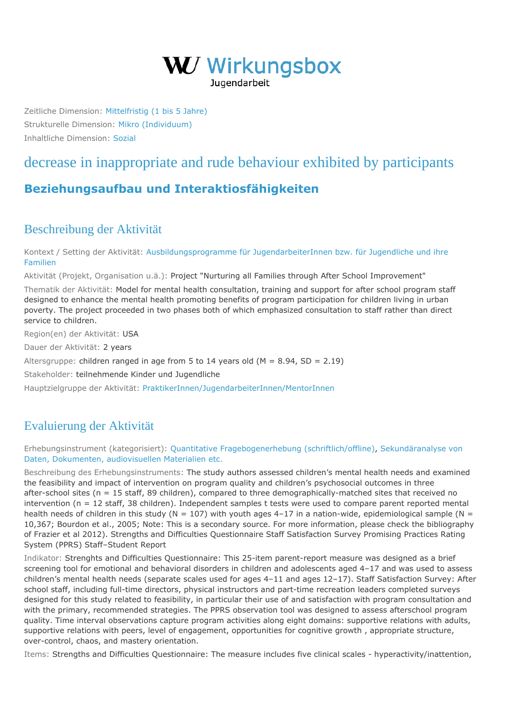

Zeitliche Dimension: [Mittelfristig \(1 bis 5 Jahre\)](https://wirkungsbox.at/jart/prj3/wirkungsbox/main.jart?rel=de&content-id=1543322834577&p_zeitlichedimension_id=1551812792600) Strukturelle Dimension: [Mikro \(Individuum\)](https://wirkungsbox.at/jart/prj3/wirkungsbox/main.jart?rel=de&content-id=1543322834577&p_strukturelledimension_id=1551812792644) Inhaltliche Dimension: [Sozial](https://wirkungsbox.at/jart/prj3/wirkungsbox/main.jart?rel=de&content-id=1543322834577&p_inhaltlichedimension_id=1551812792546)

## [decrease in inappropriate and rude behaviour exhibited by participants](https://wirkungsbox.at/jart/prj3/wirkungsbox/main.jart?rel=de&content-id=1543322835804&wirkung_id=1543323661422)

## **[Beziehungsaufbau und Interaktiosfähigkeiten](https://wirkungsbox.at/jart/prj3/wirkungsbox/main.jart?rel=de&content-id=1543322834577&p_hauptwirkung_id=1543323664202)**

## Beschreibung der Aktivität

Kontext / Setting der Aktivität: [Ausbildungsprogramme für JugendarbeiterInnen bzw. für Jugendliche und ihre](https://wirkungsbox.at/jart/prj3/wirkungsbox/main.jart?rel=de&content-id=1543322834577&p_setting_id=1543323664296) [Familien](https://wirkungsbox.at/jart/prj3/wirkungsbox/main.jart?rel=de&content-id=1543322834577&p_setting_id=1543323664296)

Aktivität (Projekt, Organisation u.ä.): Project "Nurturing all Families through After School Improvement"

Thematik der Aktivität: Model for mental health consultation, training and support for after school program staff designed to enhance the mental health promoting benefits of program participation for children living in urban poverty. The project proceeded in two phases both of which emphasized consultation to staff rather than direct service to children.

Region(en) der Aktivität: USA

Dauer der Aktivität: 2 years

Altersgruppe: children ranged in age from 5 to 14 years old  $(M = 8.94, SD = 2.19)$ 

Stakeholder: teilnehmende Kinder und Jugendliche

Hauptzielgruppe der Aktivität: [PraktikerInnen/JugendarbeiterInnen/MentorInnen](https://wirkungsbox.at/jart/prj3/wirkungsbox/main.jart?rel=de&content-id=1543322834577&p_zielgruppe_id=1543323664424)

## Evaluierung der Aktivität

Erhebungsinstrument (kategorisiert): [Quantitative Fragebogenerhebung \(schriftlich/offline\)](https://wirkungsbox.at/jart/prj3/wirkungsbox/main.jart?rel=de&content-id=1543322834577&p_erhebungsinstrument_id=1551812792254), [Sekundäranalyse von](https://wirkungsbox.at/jart/prj3/wirkungsbox/main.jart?rel=de&content-id=1543322834577&p_erhebungsinstrument_id=1551812792264) [Daten, Dokumenten, audiovisuellen Materialien etc.](https://wirkungsbox.at/jart/prj3/wirkungsbox/main.jart?rel=de&content-id=1543322834577&p_erhebungsinstrument_id=1551812792264)

Beschreibung des Erhebungsinstruments: The study authors assessed children's mental health needs and examined the feasibility and impact of intervention on program quality and children's psychosocial outcomes in three after-school sites (n = 15 staff, 89 children), compared to three demographically-matched sites that received no intervention (n = 12 staff, 38 children). Independent samples t tests were used to compare parent reported mental health needs of children in this study ( $N = 107$ ) with youth ages 4-17 in a nation-wide, epidemiological sample ( $N =$ 10,367; Bourdon et al., 2005; Note: This is a secondary source. For more information, please check the bibliography of Frazier et al 2012). Strengths and Difficulties Questionnaire Staff Satisfaction Survey Promising Practices Rating System (PPRS) Staff–Student Report

Indikator: Strenghts and Difficulties Questionnaire: This 25-item parent-report measure was designed as a brief screening tool for emotional and behavioral disorders in children and adolescents aged 4–17 and was used to assess children's mental health needs (separate scales used for ages 4–11 and ages 12–17). Staff Satisfaction Survey: After school staff, including full-time directors, physical instructors and part-time recreation leaders completed surveys designed for this study related to feasibility, in particular their use of and satisfaction with program consultation and with the primary, recommended strategies. The PPRS observation tool was designed to assess afterschool program quality. Time interval observations capture program activities along eight domains: supportive relations with adults, supportive relations with peers, level of engagement, opportunities for cognitive growth , appropriate structure, over-control, chaos, and mastery orientation.

Items: Strengths and Difficulties Questionnaire: The measure includes five clinical scales - hyperactivity/inattention,